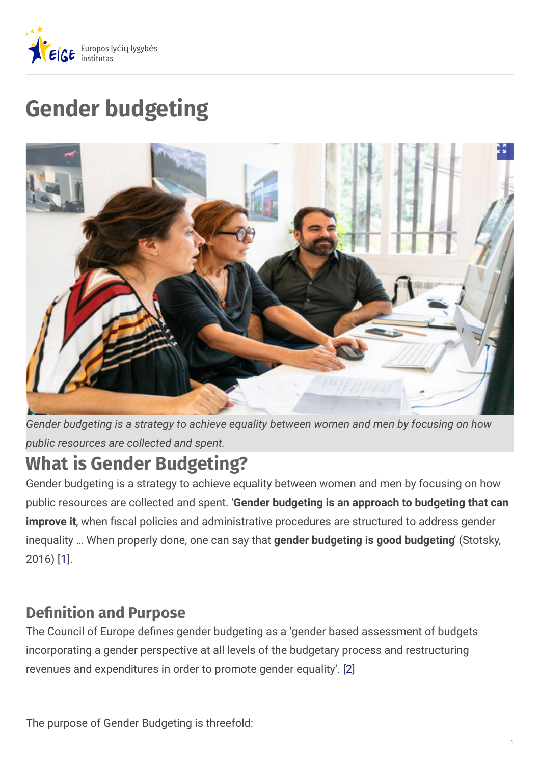

# **Gender budgeting**



*Gender budgeting is a strategy to achieve equality between women and men by focusing on how public resources are collected and spent.*

## **What is Gender Budgeting?**

Gender budgeting is a strategy to achieve equality between women and men by focusing on how public resources are collected and spent. '**Gender budgeting is an approach to budgeting that can improve it**, when fiscal policies and administrative procedures are structured to address gender inequality … When properly done, one can say that **gender budgeting is good budgeting**' (Stotsky, 2016) [[1\]](https://eige.europa.eu/lt/gender-mainstreaming/methods-tools/gender-budgeting?lang=sk#1).

## **Definition and Purpose**

The Council of Europe defines gender budgeting as a 'gender based assessment of budgets incorporating a gender perspective at all levels of the budgetary process and restructuring revenues and expenditures in order to promote gender equality'. [\[2\]](https://eige.europa.eu/lt/gender-mainstreaming/methods-tools/gender-budgeting?lang=sk#2)

The purpose of Gender Budgeting is threefold: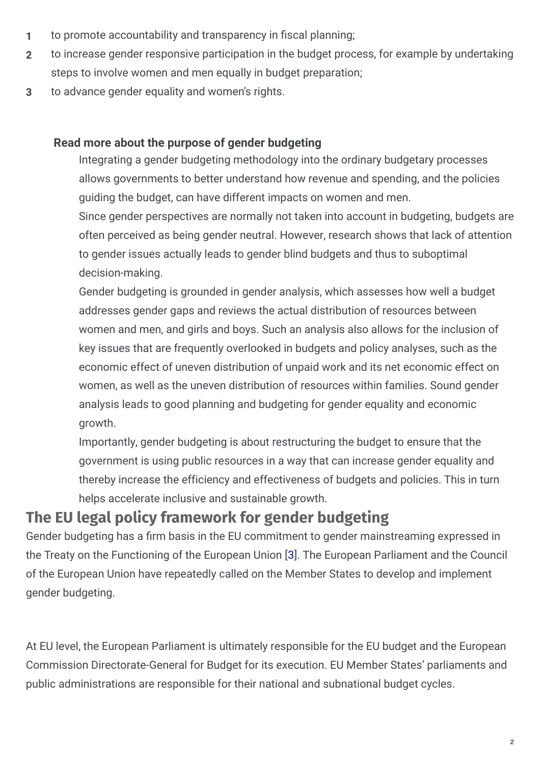- **1** to promote accountability and transparency in fiscal planning;
- to increase gender responsive participation in the budget process, for example by undertaking steps to involve women and men equally in budget preparation; **2**
- **3** to advance gender equality and women's rights.

#### **Read more about the purpose of gender budgeting**

Integrating a gender budgeting methodology into the ordinary budgetary processes allows governments to better understand how revenue and spending, and the policies guiding the budget, can have different impacts on women and men. Since gender perspectives are normally not taken into account in budgeting, budgets are

often perceived as being gender neutral. However, research shows that lack of attention to gender issues actually leads to gender blind budgets and thus to suboptimal decision-making.

Gender budgeting is grounded in gender analysis, which assesses how well a budget addresses gender gaps and reviews the actual distribution of resources between women and men, and girls and boys. Such an analysis also allows for the inclusion of key issues that are frequently overlooked in budgets and policy analyses, such as the economic effect of uneven distribution of unpaid work and its net economic effect on women, as well as the uneven distribution of resources within families. Sound gender analysis leads to good planning and budgeting for gender equality and economic growth.

Importantly, gender budgeting is about restructuring the budget to ensure that the government is using public resources in a way that can increase gender equality and thereby increase the efficiency and effectiveness of budgets and policies. This in turn helps accelerate inclusive and sustainable growth.

### **The EU legal policy framework for gender budgeting**

Gender budgeting has a firm basis in the EU commitment to gender mainstreaming expressed in the Treaty on the Functioning of the European Union [\[3](https://eige.europa.eu/lt/gender-mainstreaming/methods-tools/gender-budgeting?lang=sk#3)]. The European Parliament and the Council of the European Union have repeatedly called on the Member States to develop and implement gender budgeting.

At EU level, the European Parliament is ultimately responsible for the EU budget and the European Commission Directorate-General for Budget for its execution. EU Member States' parliaments and public administrations are responsible for their national and subnational budget cycles.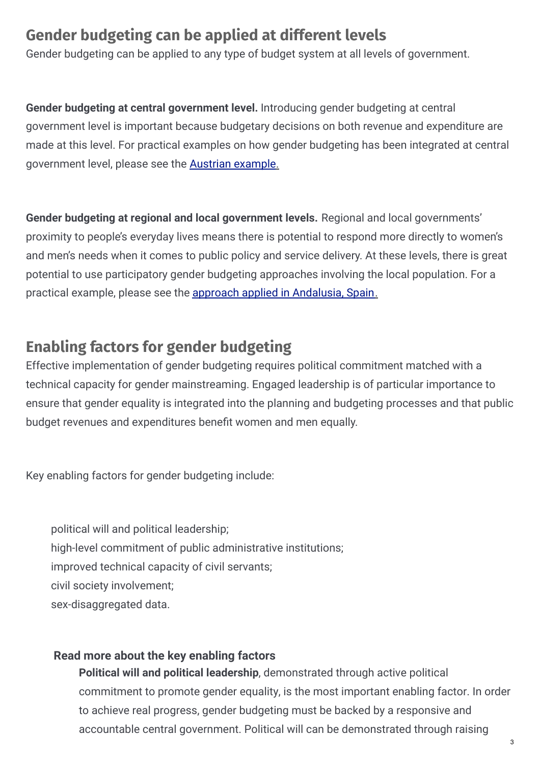### **Gender budgeting can be applied at different levels**

Gender budgeting can be applied to any type of budget system at all levels of government.

**Gender budgeting at central government level.** Introducing gender budgeting at central government level is important because budgetary decisions on both revenue and expenditure are made at this level. For practical examples on how gender budgeting has been integrated at central government level, please see the Austrian [example](https://eige.europa.eu/gender-mainstreaming/countries/austria).

**Gender budgeting at regional and local government levels.** Regional and local governments' proximity to people's everyday lives means there is potential to respond more directly to women's and men's needs when it comes to public policy and service delivery. At these levels, there is great potential to use participatory gender budgeting approaches involving the local population. For a practical example, please see the approach applied in [Andalusia,](https://eige.europa.eu/gender-mainstreaming/resources/international/methodology-using-public-budgeting-improve-gender-equality) Spain.

## **Enabling factors for gender budgeting**

Effective implementation of gender budgeting requires political commitment matched with a technical capacity for gender mainstreaming. Engaged leadership is of particular importance to ensure that gender equality is integrated into the planning and budgeting processes and that public budget revenues and expenditures benefit women and men equally.

Key enabling factors for gender budgeting include:

political will and political leadership; high-level commitment of public administrative institutions; improved technical capacity of civil servants; civil society involvement; sex-disaggregated data.

#### **Read more about the key enabling factors**

**Political will and political leadership**, demonstrated through active political commitment to promote gender equality, is the most important enabling factor. In order to achieve real progress, gender budgeting must be backed by a responsive and accountable central government. Political will can be demonstrated through raising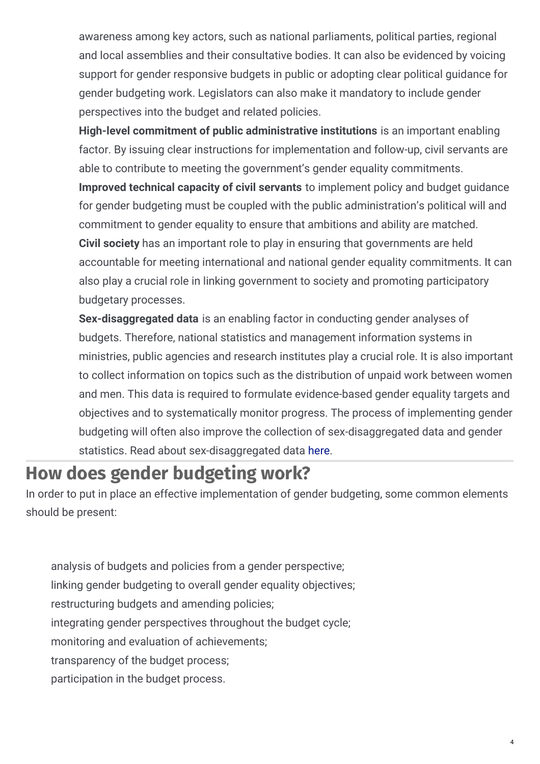awareness among key actors, such as national parliaments, political parties, regional and local assemblies and their consultative bodies. It can also be evidenced by voicing support for gender responsive budgets in public or adopting clear political guidance for gender budgeting work. Legislators can also make it mandatory to include gender perspectives into the budget and related policies.

**High-level commitment of public administrative institutions** is an important enabling factor. By issuing clear instructions for implementation and follow-up, civil servants are able to contribute to meeting the government's gender equality commitments.

**Improved technical capacity of civil servants** to implement policy and budget guidance for gender budgeting must be coupled with the public administration's political will and commitment to gender equality to ensure that ambitions and ability are matched. **Civil society** has an important role to play in ensuring that governments are held accountable for meeting international and national gender equality commitments. It can also play a crucial role in linking government to society and promoting participatory

**Sex-disaggregated data** is an enabling factor in conducting gender analyses of budgets. Therefore, national statistics and management information systems in ministries, public agencies and research institutes play a crucial role. It is also important to collect information on topics such as the distribution of unpaid work between women and men. This data is required to formulate evidence-based gender equality targets and objectives and to systematically monitor progress. The process of implementing gender budgeting will often also improve the collection of sex-disaggregated data and gender statistics. Read about sex-disaggregated data [here](https://eige.europa.eu/gender-mainstreaming/tools-and-methods/sex-disaggregated-data).

## **How does gender budgeting work?**

budgetary processes.

In order to put in place an effective implementation of gender budgeting, some common elements should be present:

analysis of budgets and policies from a gender perspective; linking gender budgeting to overall gender equality objectives; restructuring budgets and amending policies; integrating gender perspectives throughout the budget cycle; monitoring and evaluation of achievements; transparency of the budget process; participation in the budget process.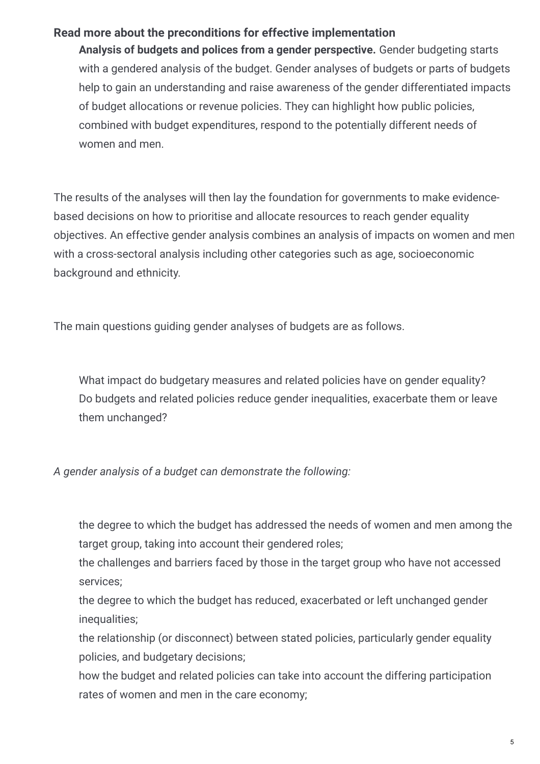#### **Read more about the preconditions for effective implementation**

**Analysis of budgets and polices from a gender perspective.** Gender budgeting starts with a gendered analysis of the budget. Gender analyses of budgets or parts of budgets help to gain an understanding and raise awareness of the gender differentiated impacts of budget allocations or revenue policies. They can highlight how public policies, combined with budget expenditures, respond to the potentially different needs of women and men.

The results of the analyses will then lay the foundation for governments to make evidencebased decisions on how to prioritise and allocate resources to reach gender equality objectives. An effective gender analysis combines an analysis of impacts on women and men with a cross-sectoral analysis including other categories such as age, socioeconomic background and ethnicity.

The main questions guiding gender analyses of budgets are as follows.

What impact do budgetary measures and related policies have on gender equality? Do budgets and related policies reduce gender inequalities, exacerbate them or leave them unchanged?

*A gender analysis of a budget can demonstrate the following:*

the degree to which the budget has addressed the needs of women and men among the target group, taking into account their gendered roles;

the challenges and barriers faced by those in the target group who have not accessed services;

the degree to which the budget has reduced, exacerbated or left unchanged gender inequalities;

the relationship (or disconnect) between stated policies, particularly gender equality policies, and budgetary decisions;

how the budget and related policies can take into account the differing participation rates of women and men in the care economy;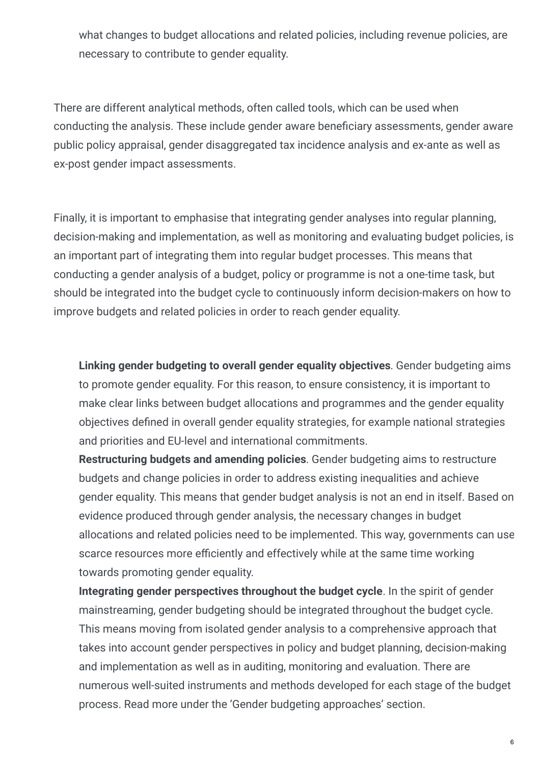what changes to budget allocations and related policies, including revenue policies, are necessary to contribute to gender equality.

There are different analytical methods, often called tools, which can be used when conducting the analysis. These include gender aware beneficiary assessments, gender aware public policy appraisal, gender disaggregated tax incidence analysis and ex-ante as well as ex-post gender impact assessments.

Finally, it is important to emphasise that integrating gender analyses into regular planning, decision-making and implementation, as well as monitoring and evaluating budget policies, is an important part of integrating them into regular budget processes. This means that conducting a gender analysis of a budget, policy or programme is not a one-time task, but should be integrated into the budget cycle to continuously inform decision-makers on how to improve budgets and related policies in order to reach gender equality.

**Linking gender budgeting to overall gender equality objectives**. Gender budgeting aims to promote gender equality. For this reason, to ensure consistency, it is important to make clear links between budget allocations and programmes and the gender equality objectives defined in overall gender equality strategies, for example national strategies and priorities and EU-level and international commitments.

**Restructuring budgets and amending policies**. Gender budgeting aims to restructure budgets and change policies in order to address existing inequalities and achieve gender equality. This means that gender budget analysis is not an end in itself. Based on evidence produced through gender analysis, the necessary changes in budget allocations and related policies need to be implemented. This way, governments can use scarce resources more efficiently and effectively while at the same time working towards promoting gender equality.

**Integrating gender perspectives throughout the budget cycle**. In the spirit of gender mainstreaming, gender budgeting should be integrated throughout the budget cycle. This means moving from isolated gender analysis to a comprehensive approach that takes into account gender perspectives in policy and budget planning, decision-making and implementation as well as in auditing, monitoring and evaluation. There are numerous well-suited instruments and methods developed for each stage of the budget process. Read more under the 'Gender budgeting approaches' section.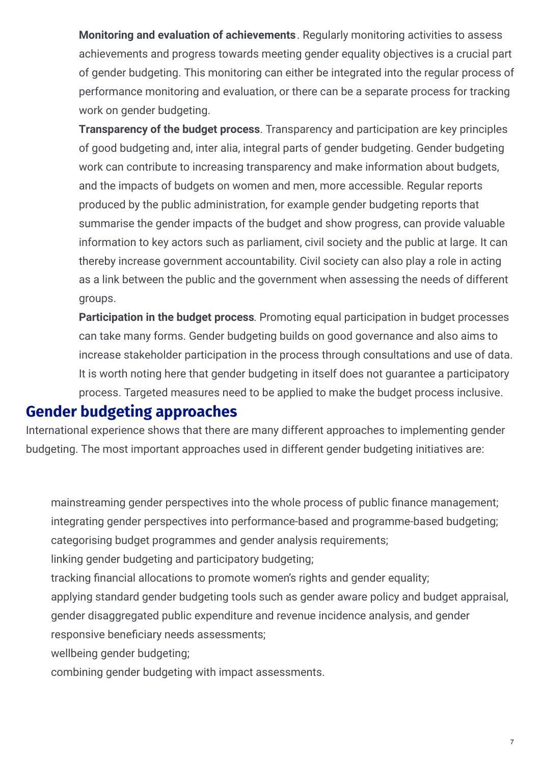**Monitoring and evaluation of achievements**. Regularly monitoring activities to assess achievements and progress towards meeting gender equality objectives is a crucial part of gender budgeting. This monitoring can either be integrated into the regular process of performance monitoring and evaluation, or there can be a separate process for tracking work on gender budgeting.

**Transparency of the budget process**. Transparency and participation are key principles of good budgeting and, inter alia, integral parts of gender budgeting. Gender budgeting work can contribute to increasing transparency and make information about budgets, and the impacts of budgets on women and men, more accessible. Regular reports produced by the public administration, for example gender budgeting reports that summarise the gender impacts of the budget and show progress, can provide valuable information to key actors such as parliament, civil society and the public at large. It can thereby increase government accountability. Civil society can also play a role in acting as a link between the public and the government when assessing the needs of different groups.

**Participation in the budget process**. Promoting equal participation in budget processes can take many forms. Gender budgeting builds on good governance and also aims to increase stakeholder participation in the process through consultations and use of data. It is worth noting here that gender budgeting in itself does not guarantee a participatory process. Targeted measures need to be applied to make the budget process inclusive.

### **Gender budgeting approaches**

International experience shows that there are many different approaches to implementing gender budgeting. The most important approaches used in different gender budgeting initiatives are:

mainstreaming gender perspectives into the whole process of public finance management; integrating gender perspectives into performance-based and programme-based budgeting; categorising budget programmes and gender analysis requirements;

linking gender budgeting and participatory budgeting;

tracking financial allocations to promote women's rights and gender equality;

applying standard gender budgeting tools such as gender aware policy and budget appraisal, gender disaggregated public expenditure and revenue incidence analysis, and gender responsive beneficiary needs assessments;

wellbeing gender budgeting;

combining gender budgeting with impact assessments.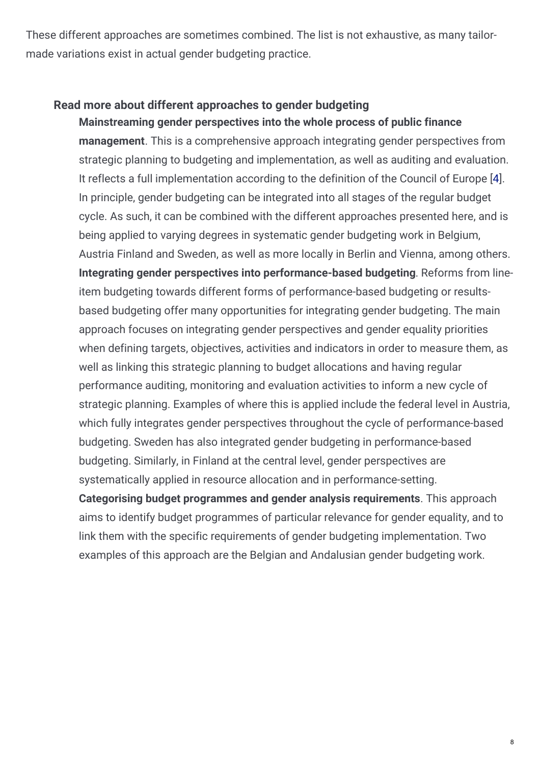These different approaches are sometimes combined. The list is not exhaustive, as many tailormade variations exist in actual gender budgeting practice.

#### **Read more about different approaches to gender budgeting**

**Mainstreaming gender perspectives into the whole process of public finance management**. This is a comprehensive approach integrating gender perspectives from strategic planning to budgeting and implementation, as well as auditing and evaluation. It reflects a full implementation according to the definition of the Council of Europe [\[4\]](https://eige.europa.eu/lt/gender-mainstreaming/methods-tools/gender-budgeting?lang=sk#4). In principle, gender budgeting can be integrated into all stages of the regular budget cycle. As such, it can be combined with the different approaches presented here, and is being applied to varying degrees in systematic gender budgeting work in Belgium, Austria Finland and Sweden, as well as more locally in Berlin and Vienna, among others. **Integrating gender perspectives into performance-based budgeting**. Reforms from lineitem budgeting towards different forms of performance-based budgeting or resultsbased budgeting offer many opportunities for integrating gender budgeting. The main approach focuses on integrating gender perspectives and gender equality priorities when defining targets, objectives, activities and indicators in order to measure them, as well as linking this strategic planning to budget allocations and having regular performance auditing, monitoring and evaluation activities to inform a new cycle of strategic planning. Examples of where this is applied include the federal level in Austria, which fully integrates gender perspectives throughout the cycle of performance-based budgeting. Sweden has also integrated gender budgeting in performance-based budgeting. Similarly, in Finland at the central level, gender perspectives are systematically applied in resource allocation and in performance-setting.

**Categorising budget programmes and gender analysis requirements**. This approach aims to identify budget programmes of particular relevance for gender equality, and to link them with the specific requirements of gender budgeting implementation. Two examples of this approach are the Belgian and Andalusian gender budgeting work.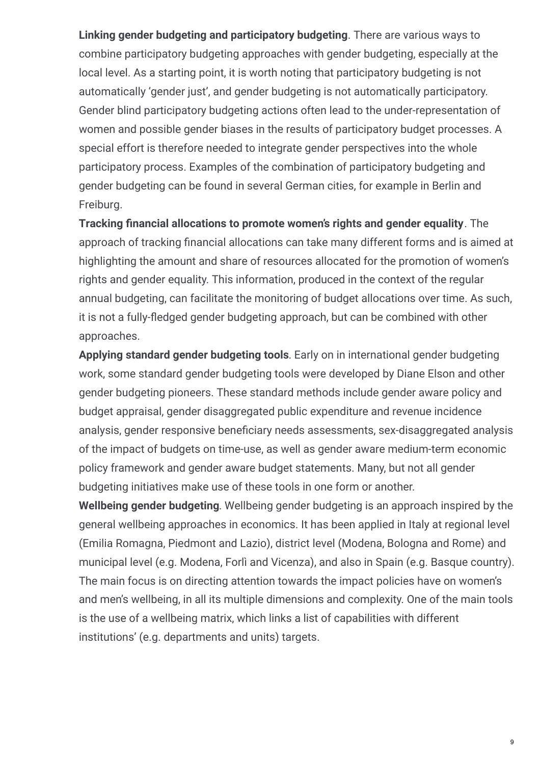**Linking gender budgeting and participatory budgeting**. There are various ways to combine participatory budgeting approaches with gender budgeting, especially at the local level. As a starting point, it is worth noting that participatory budgeting is not automatically 'gender just', and gender budgeting is not automatically participatory. Gender blind participatory budgeting actions often lead to the under-representation of women and possible gender biases in the results of participatory budget processes. A special effort is therefore needed to integrate gender perspectives into the whole participatory process. Examples of the combination of participatory budgeting and gender budgeting can be found in several German cities, for example in Berlin and Freiburg.

**Tracking financial allocations to promote women's rights and gender equality. The** approach of tracking financial allocations can take many different forms and is aimed at highlighting the amount and share of resources allocated for the promotion of women's rights and gender equality. This information, produced in the context of the regular annual budgeting, can facilitate the monitoring of budget allocations over time. As such, it is not a fully-fledged gender budgeting approach, but can be combined with other approaches.

**Applying standard gender budgeting tools**. Early on in international gender budgeting work, some standard gender budgeting tools were developed by Diane Elson and other gender budgeting pioneers. These standard methods include gender aware policy and budget appraisal, gender disaggregated public expenditure and revenue incidence analysis, gender responsive beneficiary needs assessments, sex-disaggregated analysis of the impact of budgets on time-use, as well as gender aware medium-term economic policy framework and gender aware budget statements. Many, but not all gender budgeting initiatives make use of these tools in one form or another.

**Wellbeing gender budgeting**. Wellbeing gender budgeting is an approach inspired by the general wellbeing approaches in economics. It has been applied in Italy at regional level (Emilia Romagna, Piedmont and Lazio), district level (Modena, Bologna and Rome) and municipal level (e.g. Modena, Forlì and Vicenza), and also in Spain (e.g. Basque country). The main focus is on directing attention towards the impact policies have on women's and men's wellbeing, in all its multiple dimensions and complexity. One of the main tools is the use of a wellbeing matrix, which links a list of capabilities with different institutions' (e.g. departments and units) targets.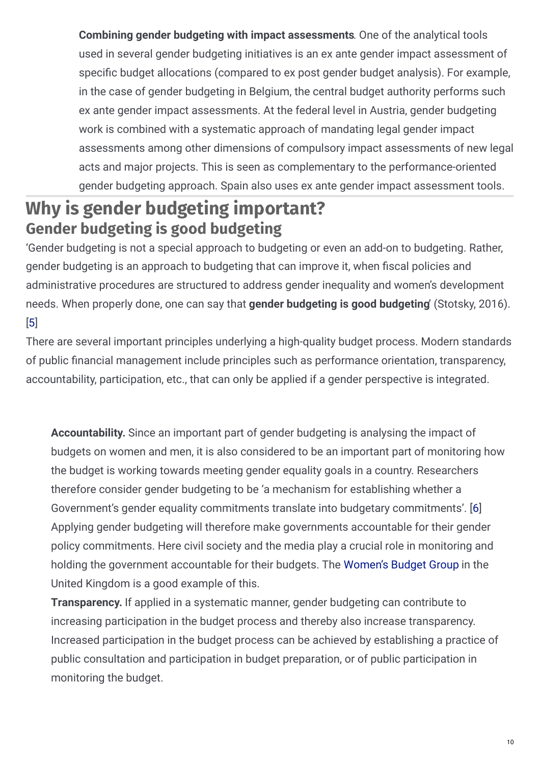**Combining gender budgeting with impact assessments**. One of the analytical tools used in several gender budgeting initiatives is an ex ante gender impact assessment of specific budget allocations (compared to ex post gender budget analysis). For example, in the case of gender budgeting in Belgium, the central budget authority performs such ex ante gender impact assessments. At the federal level in Austria, gender budgeting work is combined with a systematic approach of mandating legal gender impact assessments among other dimensions of compulsory impact assessments of new legal acts and major projects. This is seen as complementary to the performance-oriented gender budgeting approach. Spain also uses ex ante gender impact assessment tools.

## **Why is gender budgeting important? Gender budgeting is good budgeting**

'Gender budgeting is not a special approach to budgeting or even an add-on to budgeting. Rather, gender budgeting is an approach to budgeting that can improve it, when fiscal policies and administrative procedures are structured to address gender inequality and women's development needs. When properly done, one can say that **gender budgeting is good budgeting**' (Stotsky, 2016). [\[5](https://eige.europa.eu/lt/gender-mainstreaming/methods-tools/gender-budgeting?lang=sk#5)]

There are several important principles underlying a high-quality budget process. Modern standards of public financial management include principles such as performance orientation, transparency, accountability, participation, etc., that can only be applied if a gender perspective is integrated.

**Accountability.** Since an important part of gender budgeting is analysing the impact of budgets on women and men, it is also considered to be an important part of monitoring how the budget is working towards meeting gender equality goals in a country. Researchers therefore consider gender budgeting to be 'a mechanism for establishing whether a Government's gender equality commitments translate into budgetary commitments'. [\[6](https://eige.europa.eu/lt/gender-mainstreaming/methods-tools/gender-budgeting?lang=sk#6)] Applying gender budgeting will therefore make governments accountable for their gender policy commitments. Here civil society and the media play a crucial role in monitoring and holding the government accountable for their budgets. The [Women's](http://wbg.org.uk/) Budget Group in the United Kingdom is a good example of this.

**Transparency.** If applied in a systematic manner, gender budgeting can contribute to increasing participation in the budget process and thereby also increase transparency. Increased participation in the budget process can be achieved by establishing a practice of public consultation and participation in budget preparation, or of public participation in monitoring the budget.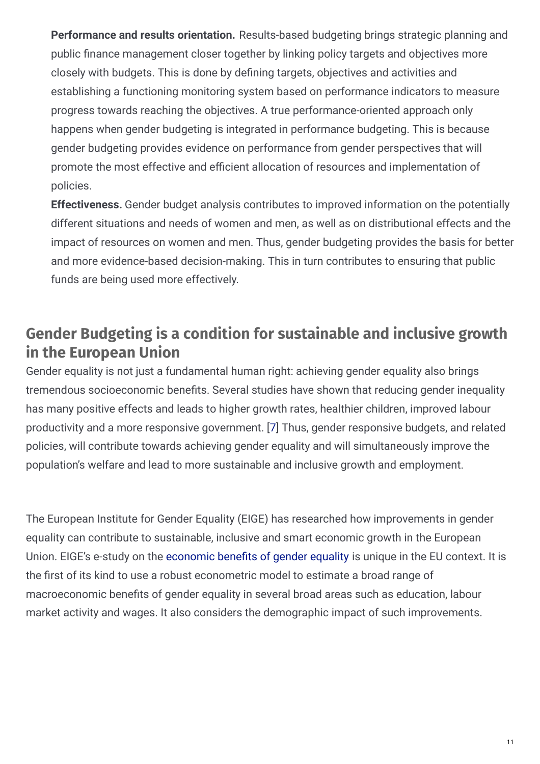**Performance and results orientation.** Results-based budgeting brings strategic planning and public finance management closer together by linking policy targets and objectives more closely with budgets. This is done by defining targets, objectives and activities and establishing a functioning monitoring system based on performance indicators to measure progress towards reaching the objectives. A true performance-oriented approach only happens when gender budgeting is integrated in performance budgeting. This is because gender budgeting provides evidence on performance from gender perspectives that will promote the most effective and efficient allocation of resources and implementation of policies.

**Effectiveness.** Gender budget analysis contributes to improved information on the potentially different situations and needs of women and men, as well as on distributional effects and the impact of resources on women and men. Thus, gender budgeting provides the basis for better and more evidence-based decision-making. This in turn contributes to ensuring that public funds are being used more effectively.

## **Gender Budgeting is a condition for sustainable and inclusive growth in the European Union**

Gender equality is not just a fundamental human right: achieving gender equality also brings tremendous socioeconomic benefits. Several studies have shown that reducing gender inequality has many positive effects and leads to higher growth rates, healthier children, improved labour productivity and a more responsive government. [\[7](https://eige.europa.eu/lt/gender-mainstreaming/methods-tools/gender-budgeting?lang=sk#7)] Thus, gender responsive budgets, and related policies, will contribute towards achieving gender equality and will simultaneously improve the population's welfare and lead to more sustainable and inclusive growth and employment.

The European Institute for Gender Equality (EIGE) has researched how improvements in gender equality can contribute to sustainable, inclusive and smart economic growth in the European Union. EIGE's e-study on the [economic](https://eige.europa.eu/gender-mainstreaming/policy-areas/economic-and-financial-affairs/economic-benefits-gender-equality) benefits of gender equality is unique in the EU context. It is the first of its kind to use a robust econometric model to estimate a broad range of macroeconomic benefits of gender equality in several broad areas such as education, labour market activity and wages. It also considers the demographic impact of such improvements.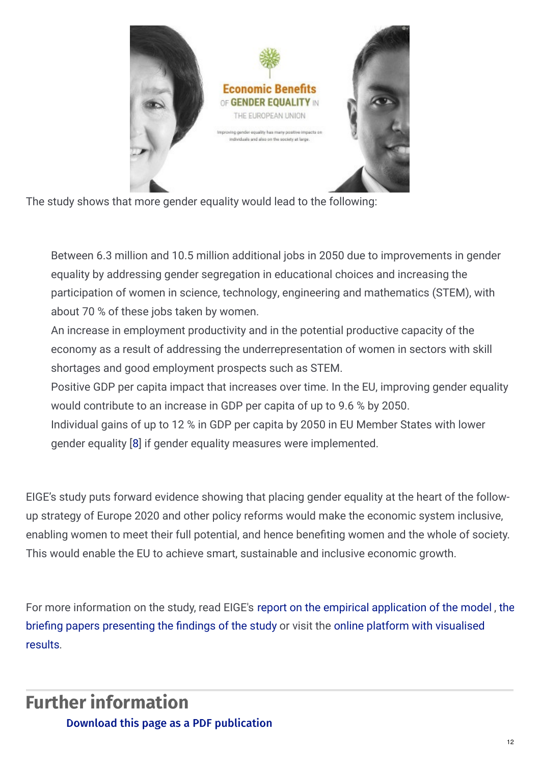

The study shows that more gender equality would lead to the following:

Between 6.3 million and 10.5 million additional jobs in 2050 due to improvements in gender equality by addressing gender segregation in educational choices and increasing the participation of women in science, technology, engineering and mathematics (STEM), with about 70 % of these jobs taken by women.

An increase in employment productivity and in the potential productive capacity of the economy as a result of addressing the underrepresentation of women in sectors with skill shortages and good employment prospects such as STEM.

Positive GDP per capita impact that increases over time. In the EU, improving gender equality would contribute to an increase in GDP per capita of up to 9.6 % by 2050.

Individual gains of up to 12 % in GDP per capita by 2050 in EU Member States with lower gender equality [[8](https://eige.europa.eu/lt/gender-mainstreaming/methods-tools/gender-budgeting?lang=sk#8)] if gender equality measures were implemented.

EIGE's study puts forward evidence showing that placing gender equality at the heart of the followup strategy of Europe 2020 and other policy reforms would make the economic system inclusive, enabling women to meet their full potential, and hence benefiting women and the whole of society. This would enable the EU to achieve smart, sustainable and inclusive economic growth.

For more [information](https://eige.europa.eu/rdc/eige-publications?t=economic benefits) on the study, read EIGE's report on the empirical [application](https://eige.europa.eu/rdc/eige-publications/economic-benefits-gender-equality-european-union-report-empirical-application-model) of the model , the briefing papers [presenting](https://eige.europa.eu/gender-mainstreaming/sectoral-areas/economic-and-financial-affairs/economic-benefits-gender-equality) the findings of the study or visit the online platform with visualised results.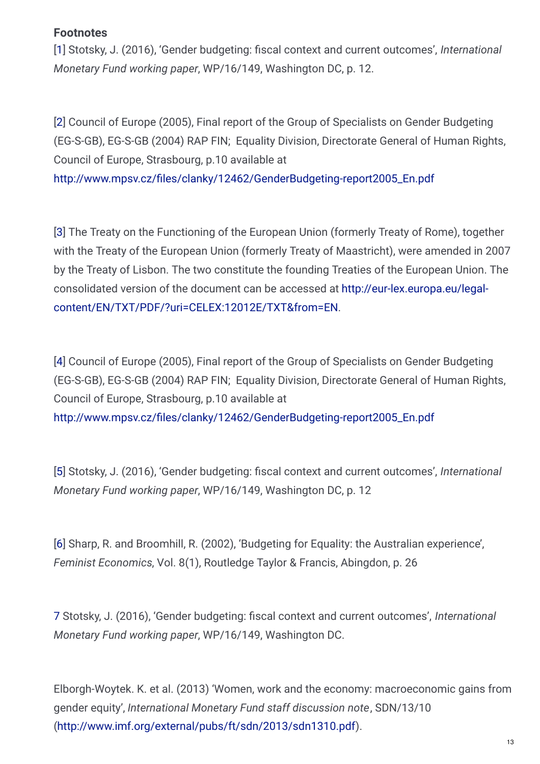#### **Footnotes**

[1] Stotsky, J. (2016), 'Gender budgeting: fiscal context and current outcomes', *International Monetary Fund working paper*, WP/16/149, Washington DC, p. 12.

[2] Council of Europe (2005), Final report of the Group of Specialists on Gender Budgeting (EG-S-GB), EG-S-GB (2004) RAP FIN; Equality Division, Directorate General of Human Rights, Council of Europe, Strasbourg, p.10 available at http://www.mpsv.cz/files/clanky/12462/GenderBudgeting-report2005\_En.pdf

[3] The Treaty on the Functioning of the European Union (formerly Treaty of Rome), together with the Treaty of the European Union (formerly Treaty of Maastricht), were amended in 2007 by the Treaty of Lisbon. The two constitute the founding Treaties of the European Union. The consolidated version of the document can be accessed at http://eur-lex.europa.eu/legal[content/EN/TXT/PDF/?uri=CELEX:12012E/TXT&from=EN.](http://eur-lex.europa.eu/legal-content/EN/TXT/PDF/?uri=CELEX:12012E/TXT&from=EN)

[4] Council of Europe (2005), Final report of the Group of Specialists on Gender Budgeting (EG-S-GB), EG-S-GB (2004) RAP FIN; Equality Division, Directorate General of Human Rights, Council of Europe, Strasbourg, p.10 available at http://www.mpsv.cz/files/clanky/12462/GenderBudgeting-report2005\_En.pdf

[5] Stotsky, J. (2016), 'Gender budgeting: fiscal context and current outcomes', *International Monetary Fund working paper*, WP/16/149, Washington DC, p. 12

[6] Sharp, R. and Broomhill, R. (2002), 'Budgeting for Equality: the Australian experience', *Feminist Economics*, Vol. 8(1), Routledge Taylor & Francis, Abingdon, p. 26

7 Stotsky, J. (2016), 'Gender budgeting: fiscal context and current outcomes', *International Monetary Fund working paper*, WP/16/149, Washington DC.

Elborgh-Woytek. K. et al. (2013) 'Women, work and the economy: macroeconomic gains from gender equity', *International Monetary Fund staff discussion note*, SDN/13/10 [\(http://www.imf.org/external/pubs/ft/sdn/2013/sdn1310.pdf](http://www.imf.org/external/pubs/ft/sdn/2013/sdn1310.pdf)).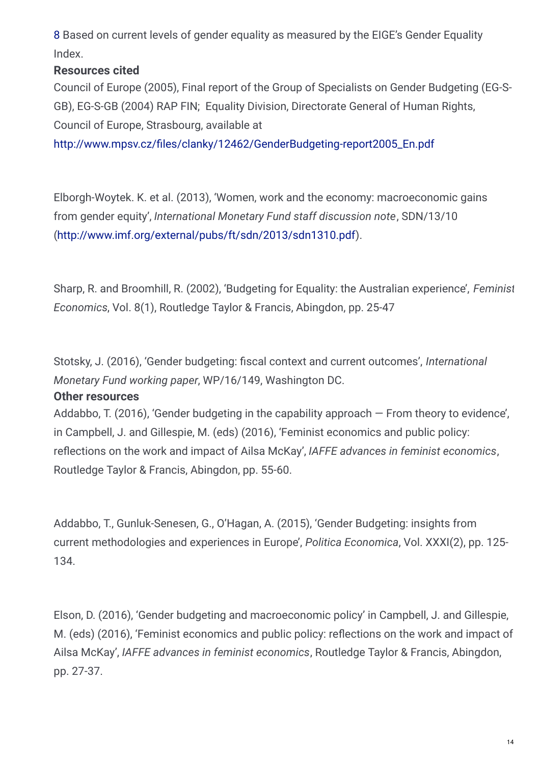8 Based on current levels of gender equality as measured by the EIGE's Gender Equality Index.

#### **Resources cited**

Council of Europe (2005), Final report of the Group of Specialists on Gender Budgeting (EG-S-GB), EG-S-GB (2004) RAP FIN; Equality Division, Directorate General of Human Rights, Council of Europe, Strasbourg, available at

http://www.mpsv.cz/files/clanky/12462/GenderBudgeting-report2005\_En.pdf

Elborgh-Woytek. K. et al. (2013), 'Women, work and the economy: macroeconomic gains from gender equity', *International Monetary Fund staff discussion note*, SDN/13/10 [\(http://www.imf.org/external/pubs/ft/sdn/2013/sdn1310.pdf](http://www.imf.org/external/pubs/ft/sdn/2013/sdn1310.pdf)).

Sharp, R. and Broomhill, R. (2002), 'Budgeting for Equality: the Australian experience', *Feminist Economics*, Vol. 8(1), Routledge Taylor & Francis, Abingdon, pp. 25-47

Stotsky, J. (2016), 'Gender budgeting: fiscal context and current outcomes', *International Monetary Fund working paper*, WP/16/149, Washington DC.

#### **Other resources**

Addabbo, T. (2016), 'Gender budgeting in the capability approach — From theory to evidence', in Campbell, J. and Gillespie, M. (eds) (2016), 'Feminist economics and public policy: reflections on the work and impact of Ailsa McKay', *IAFFE advances in feminist economics*, Routledge Taylor & Francis, Abingdon, pp. 55-60.

Addabbo, T., Gunluk-Senesen, G., O'Hagan, A. (2015), 'Gender Budgeting: insights from current methodologies and experiences in Europe', *Politica Economica*, Vol. XXXI(2), pp. 125- 134.

Elson, D. (2016), 'Gender budgeting and macroeconomic policy' in Campbell, J. and Gillespie, M. (eds) (2016). 'Feminist economics and public policy: reflections on the work and impact of Ailsa McKay', *IAFFE advances in feminist economics*, Routledge Taylor & Francis, Abingdon, pp. 27-37.